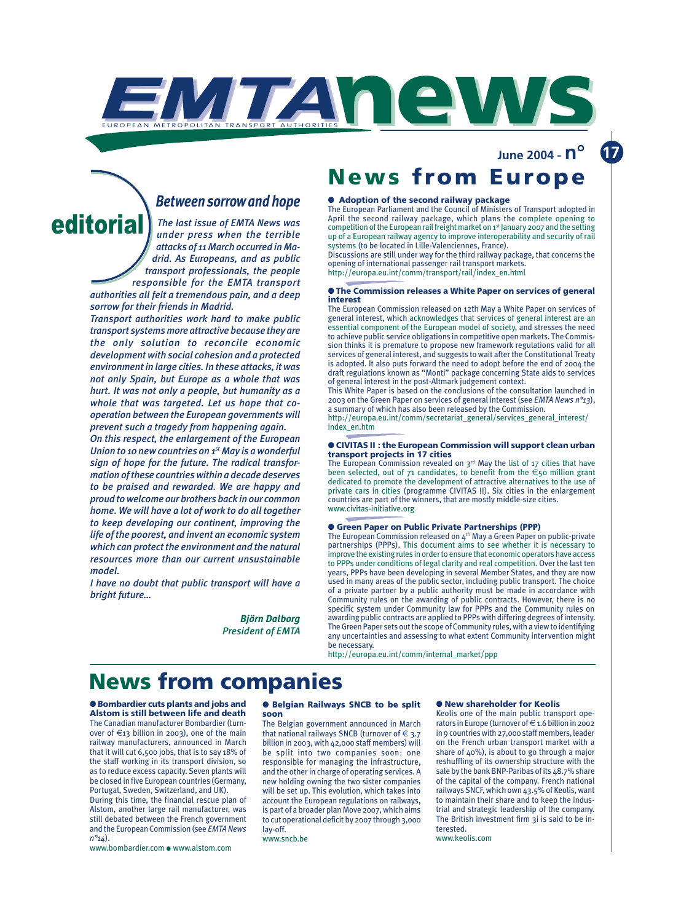

### *Between sorrow and hope*

UROPEAN METROPOLITAN TRANSPORT AUTHOR

*The last issue of EMTA News was under press when the terrible attacks of 11 March occurred in Madrid. As Europeans, and as public transport professionals, the people responsible for the EMTA transport authorities all felt a tremendous pain, and a deep* editoria

*sorrow for their friends in Madrid.*

*Transport authorities work hard to make public transport systems more attractive because they are the only solution to reconcile economic development with social cohesion and a protected environment in large cities. In these attacks, it was not only Spain, but Europe as a whole that was hurt. It was not only a people, but humanity as a whole that was targeted. Let us hope that cooperation between the European governments will prevent such a tragedy from happening again.*

*On this respect, the enlargement of the European Union to 10 new countries on 1st May is a wonderful sign of hope for the future. The radical transformation of these countries within a decade deserves to be praised and rewarded. We are happy and proud to welcome our brothers back in our common home. We will have a lot of work to do all together to keep developing our continent, improving the life of the poorest, and invent an economic system which can protect the environment and the natural resources more than our current unsustainable model.*

*I have no doubt that public transport will have a bright future…*

> *Björn Dalborg President of EMTA*

## **News from Europe** ● **Adoption of the second railway package**

WITAN NEWS

The European Parliament and the Council of Ministers of Transport adopted in April the second railway package, which plans the complete opening to competition of the European rail freight market on 1st January 2007 and the setting up of a European railway agency to improve interoperability and security of rail systems (to be located in Lille-Valenciennes, France).

Discussions are still under way for the third railway package, that concerns the opening of international passenger rail transport markets. http://europa.eu.int/comm/transport/rail/index\_en.html

● **The Commission releases a White Paper on services of general interest**

The European Commission released on 12th May a White Paper on services of general interest, which acknowledges that services of general interest are an essential component of the European model of society, and stresses the need to achieve public service obligations in competitive open markets. The Commission thinks it is premature to propose new framework regulations valid for all services of general interest, and suggests to wait after the Constitutional Treaty is adopted. It also puts forward the need to adopt before the end of 2004 the draft regulations known as "Monti" package concerning State aids to services of general interest in the post-Altmark judgement context.

This White Paper is based on the conclusions of the consultation launched in 2003 on the Green Paper on services of general interest (see *EMTA News n°13*), a summary of which has also been released by the Commission. http://europa.eu.int/comm/secretariat\_general/services\_general\_interest/

index\_en.htm

#### ● **CIVITAS II : the European Commission will support clean urban transport projects in 17 cities**

The European Commission revealed on  $3^{rd}$  May the list of 17 cities that have been selected, out of 71 candidates, to benefit from the  $\epsilon$ 50 million grant dedicated to promote the development of attractive alternatives to the use of private cars in cities (programme CIVITAS II). Six cities in the enlargement countries are part of the winners, that are mostly middle-size cities. www.civitas-initiative.org

### ● **Green Paper on Public Private Partnerships (PPP)**

The European Commission released on 4<sup>th</sup> May a Green Paper on public-private partnerships (PPPs). This document aims to see whether it is necessary to improve the existing rules in order to ensure that economic operators have access to PPPs under conditions of legal clarity and real competition. Over the last ten years, PPPs have been developing in several Member States, and they are now used in many areas of the public sector, including public transport. The choice of a private partner by a public authority must be made in accordance with Community rules on the awarding of public contracts. However, there is no specific system under Community law for PPPs and the Community rules on awarding public contracts are applied to PPPs with differing degrees of intensity. The Green Paper sets out the scope of Community rules, with a view to identifying any uncertainties and assessing to what extent Community intervention might be necessary.

http://europa.eu.int/comm/internal\_market/ppp

## **News from companies**

● **Bombardier cuts plants and jobs and Alstom is still between life and death** The Canadian manufacturer Bombardier (turnover of  $\epsilon_1$ 3 billion in 2003), one of the main railway manufacturers, announced in March that it will cut 6,500 jobs, that is to say 18% of the staff working in its transport division, so as to reduce excess capacity. Seven plants will be closed in five European countries (Germany, Portugal, Sweden, Switzerland, and UK).

During this time, the financial rescue plan of Alstom, another large rail manufacturer, was still debated between the French government and the European Commission (see *EMTA News n°14*).

www.bombardier.com ● www.alstom.com

### ● **Belgian Railways SNCB to be split soon**

The Belgian government announced in March that national railways SNCB (turnover of  $\epsilon$  3.7 billion in 2003, with 42,000 staff members) will be split into two companies soon: one responsible for managing the infrastructure, and the other in charge of operating services. A new holding owning the two sister companies will be set up. This evolution, which takes into account the European regulations on railways, is part of a broader plan Move 2007, which aims to cut operational deficit by 2007 through 3,000 lay-off.

www.sncb.be

#### ● **New shareholder for Keolis**

Keolis one of the main public transport operators in Europe (turnover of  $\in$  1.6 billion in 2002 in 9 countries with 27,000 staff members, leader on the French urban transport market with a share of 40%), is about to go through a major reshuffling of its ownership structure with the sale by the bank BNP-Paribas of its 48.7% share of the capital of the company. French national railways SNCF, which own 43.5% of Keolis, want to maintain their share and to keep the industrial and strategic leadership of the company. The British investment firm 3i is said to be interested.

www.keolis.com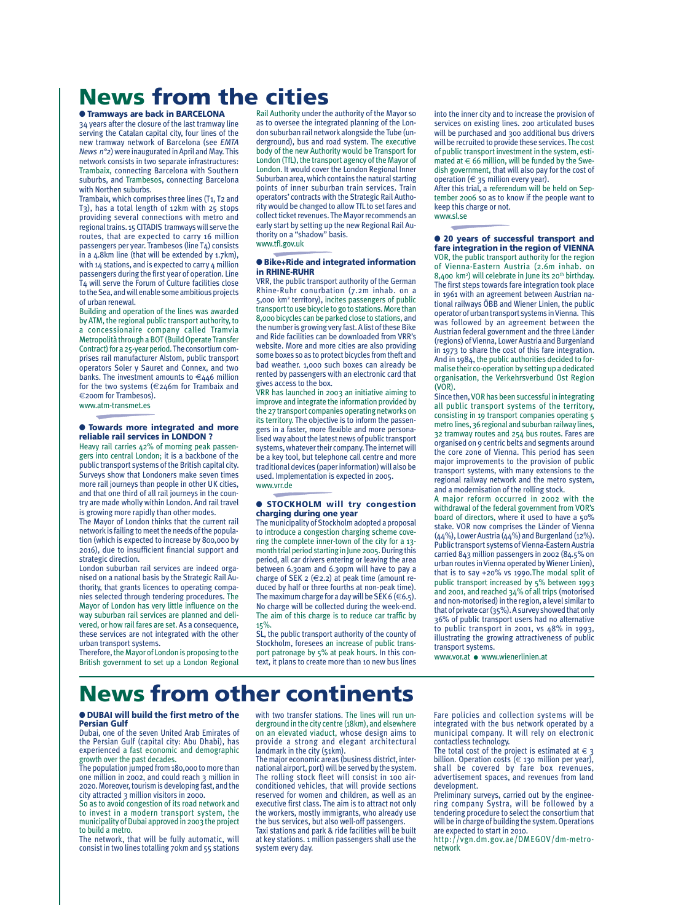# **News from the cities**

### ● **Tramways are back in BARCELONA**

34 years after the closure of the last tramway line serving the Catalan capital city, four lines of the new tramway network of Barcelona (see *EMTA News n°2*) were inaugurated in April and May. This network consists in two separate infrastructures: Trambaix, connecting Barcelona with Southern suburbs, and Trambesos, connecting Barcelona with Northen suburbs.

Trambaix, which comprises three lines (T1, T2 and T3), has a total length of 12km with 25 stops providing several connections with metro and regional trains. 15 CITADIS tramways will serve the routes, that are expected to carry 16 million passengers per year. Trambesos (line T4) consists in a 4.8km line (that will be extended by 1.7km), with 14 stations, and is expected to carry 4 million passengers during the first year of operation. Line T4 will serve the Forum of Culture facilities close to the Sea, and will enable some ambitious projects of urban renewal.

Building and operation of the lines was awarded by ATM, the regional public transport authority, to a concessionaire company called Tramvia Metropolità through a BOT (Build Operate Transfer Contract) for a 25-year period. The consortium comprises rail manufacturer Alstom, public transport operators Soler y Sauret and Connex, and two banks. The investment amounts to  $\epsilon_4$ 46 million for the two systems (€246m for Trambaix and €200m for Trambesos). www.atm-transmet.es

### ● **Towards more integrated and more reliable rail services in LONDON ?**

Heavy rail carries 42% of morning peak passengers into central London; it is a backbone of the public transport systems of the British capital city. Surveys show that Londoners make seven times more rail journeys than people in other UK cities, and that one third of all rail journeys in the country are made wholly within London. And rail travel is growing more rapidly than other modes.

The Mayor of London thinks that the current rail network is failing to meet the needs of the population (which is expected to increase by 800,000 by 2016), due to insufficient financial support and strategic direction.

London suburban rail services are indeed organised on a national basis by the Strategic Rail Authority, that grants licences to operating companies selected through tendering procedures. The Mayor of London has very little influence on the way suburban rail services are planned and delivered, or how rail fares are set. As a consequence, these services are not integrated with the other urban transport systems.

Therefore, the Mayor of London is proposing to the British government to set up a London Regional

Rail Authority under the authority of the Mayor so as to oversee the integrated planning of the London suburban rail network alongside the Tube (underground), bus and road system. The executive body of the new Authority would be Transport for London (TfL), the transport agency of the Mayor of London. It would cover the London Regional Inner Suburban area, which contains the natural starting points of inner suburban train services. Train operators' contracts with the Strategic Rail Authority would be changed to allow TfL to set fares and collect ticket revenues. The Mayor recommends an early start by setting up the new Regional Rail Authority on a "shadow" basis. www.tfl.gov.uk

### ● **Bike+Ride and integrated information in RHINE-RUHR**

VRR, the public transport authority of the German Rhine-Ruhr conurbation (7.2m inhab. on a 5,000 km2 territory), incites passengers of public transport to use bicycle to go to stations. More than 8,000 bicycles can be parked close to stations, and the number is growing very fast. A list of these Bike and Ride facilities can be downloaded from VRR's website. More and more cities are also providing some boxes so as to protect bicycles from theft and bad weather. 1,000 such boxes can already be rented by passengers with an electronic card that gives access to the box.

VRR has launched in 2003 an initiative aiming to improve and integrate the information provided by the 27 transport companies operating networks on its territory. The objective is to inform the passengers in a faster, more flexible and more personalised way about the latest news of public transport systems, whatever their company. The internet will be a key tool, but telephone call centre and more traditional devices (paper information) will also be used. Implementation is expected in 2005. www.vrr.de

### ● **STOCKHOLM will try congestion charging during one year**

The municipality of Stockholm adopted a proposal to introduce a congestion charging scheme covering the complete inner-town of the city for a 13 month trial period starting in June 2005. During this period, all car drivers entering or leaving the area between 6.30am and 6.30pm will have to pay a charge of SEK 2  $(€2.2)$  at peak time (amount reduced by half or three fourths at non-peak time). The maximum charge for a day will be SEK 6 ( $\in$  6.5). No charge will be collected during the week-end. The aim of this charge is to reduce car traffic by 15%.

SL, the public transport authority of the county of Stockholm, foresees an increase of public transport patronage by 5% at peak hours. In this context, it plans to create more than 10 new bus lines into the inner city and to increase the provision of services on existing lines. 200 articulated buses will be purchased and 300 additional bus drivers will be recruited to provide these services.The cost of public transport investment in the system, estimated at  $\in$  66 million, will be funded by the Swedish government, that will also pay for the cost of operation  $(6.35)$  million every year).

After this trial, a referendum will be held on September 2006 so as to know if the people want to keep this charge or not. www.sl.se

● **20 years of successful transport and fare integration in the region of VIENNA** VOR, the public transport authority for the region of Vienna-Eastern Austria (2.6m inhab. on 8,400 km<sup>2</sup>) will celebrate in June its 20<sup>th</sup> birthday. The first steps towards fare integration took place in 1961 with an agreement between Austrian national railways ÖBB and Wiener Linien, the public operator of urban transport systems in Vienna. This was followed by an agreement between the Austrian federal government and the three Länder (regions) of Vienna, Lower Austria and Burgenland in 1973 to share the cost of this fare integration. And in 1984, the public authorities decided to formalise their co-operation by setting up a dedicated organisation, the Verkehrsverbund Ost Region (VOR).

Since then,VOR has been successful in integrating all public transport systems of the territory, consisting in 19 transport companies operating 5 metro lines, 36 regional and suburban railway lines, 32 tramway routes and 254 bus routes. Fares are organised on 9 centric belts and segments around the core zone of Vienna. This period has seen major improvements to the provision of public transport systems, with many extensions to the regional railway network and the metro system, and a modernisation of the rolling stock.

A major reform occurred in 2002 with the withdrawal of the federal government from VOR's board of directors, where it used to have a 50% stake. VOR now comprises the Länder of Vienna (44%), Lower Austria (44%) and Burgenland (12%). Public transport systems of Vienna-Eastern Austria carried 843 million passengers in 2002 (84.5% on urban routes in Vienna operated by Wiener Linien), that is to say +20% vs 1990.The modal split of public transport increased by 5% between 1993 and 2001, and reached 34% of all trips (motorised and non-motorised) in the region, a level similar to that of private car (35%). A survey showed that only 36% of public transport users had no alternative to public transport in 2001, vs 48% in 1993, illustrating the growing attractiveness of public transport systems.

www.vor.at ● www.wienerlinien.at

## **News from other continents**

### ● **DUBAI will build the first metro of the Persian Gulf**

Dubai, one of the seven United Arab Emirates of the Persian Gulf (capital city: Abu Dhabi), has experienced a fast economic and demographic growth over the past decades.

The population jumped from 180,000 to more than one million in 2002, and could reach 3 million in 2020. Moreover, tourism is developing fast, and the city attracted 3 million visitors in 2000.

So as to avoid congestion of its road network and to invest in a modern transport system, the municipality of Dubai approved in 2003 the project to build a metro.

The network, that will be fully automatic, will consist in two lines totalling 70km and 55 stations with two transfer stations. The lines will run underground in the city centre (18km), and elsewhere on an elevated viaduct, whose design aims to provide a strong and elegant architectural landmark in the city (51km).

The major economic areas (business district, international airport, port) will be served by the system. The rolling stock fleet will consist in 100 airconditioned vehicles, that will provide sections reserved for women and children, as well as an executive first class. The aim is to attract not only the workers, mostly immigrants, who already use the bus services, but also well-off passengers. Taxi stations and park & ride facilities will be built

at key stations. 1 million passengers shall use the system every day.

Fare policies and collection systems will be integrated with the bus network operated by a municipal company. It will rely on electronic contactless technology.

The total cost of the project is estimated at  $\in$  3 billion. Operation costs ( $\in$  130 million per year), shall be covered by fare box revenues, advertisement spaces, and revenues from land development.

Preliminary surveys, carried out by the engineering company Systra, will be followed by a tendering procedure to select the consortium that will be in charge of building the system. Operations are expected to start in 2010.

http://vgn.dm.gov.ae/DMEGOV/dm-metronetwork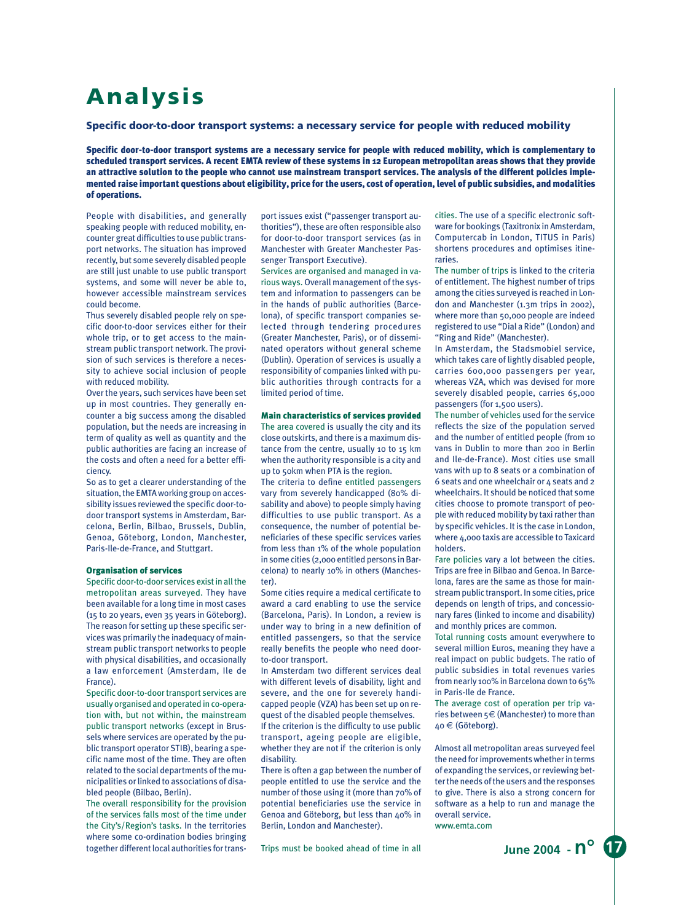# **Analysis**

### **Specific door-to-door transport systems: a necessary service for people with reduced mobility**

Specific door-to-door transport systems are a necessary service for people with reduced mobility, which is complementary to scheduled transport services. A recent EMTA review of these systems in 12 European metropolitan areas shows that they provide an attractive solution to the people who cannot use mainstream transport services. The analysis of the different policies implemented raise important questions about eligibility, price for the users, cost of operation, level of public subsidies, and modalities of operations.

People with disabilities, and generally speaking people with reduced mobility, encounter great difficulties to use public transport networks. The situation has improved recently, but some severely disabled people are still just unable to use public transport systems, and some will never be able to, however accessible mainstream services could become.

Thus severely disabled people rely on specific door-to-door services either for their whole trip, or to get access to the mainstream public transport network. The provision of such services is therefore a necessity to achieve social inclusion of people with reduced mobility.

Over the years, such services have been set up in most countries. They generally encounter a big success among the disabled population, but the needs are increasing in term of quality as well as quantity and the public authorities are facing an increase of the costs and often a need for a better efficiency.

So as to get a clearer understanding of the situation, the EMTA working group on accessibility issues reviewed the specific door-todoor transport systems in Amsterdam, Barcelona, Berlin, Bilbao, Brussels, Dublin, Genoa, Göteborg, London, Manchester, Paris-Ile-de-France, and Stuttgart.

### Organisation of services

Specific door-to-door services exist in all the metropolitan areas surveyed. They have been available for a long time in most cases (15 to 20 years, even 35 years in Göteborg). The reason for setting up these specific services was primarily the inadequacy of mainstream public transport networks to people with physical disabilities, and occasionally a law enforcement (Amsterdam, Ile de France).

Specific door-to-door transport services are usually organised and operated in co-operation with, but not within, the mainstream public transport networks (except in Brussels where services are operated by the public transport operator STIB), bearing a specific name most of the time. They are often related to the social departments of the municipalities or linked to associations of disabled people (Bilbao, Berlin).

The overall responsibility for the provision of the services falls most of the time under the City's/Region's tasks. In the territories where some co-ordination bodies bringing together different local authorities for transport issues exist ("passenger transport authorities"), these are often responsible also for door-to-door transport services (as in Manchester with Greater Manchester Passenger Transport Executive).

Services are organised and managed in various ways. Overall management of the system and information to passengers can be in the hands of public authorities (Barcelona), of specific transport companies selected through tendering procedures (Greater Manchester, Paris), or of disseminated operators without general scheme (Dublin). Operation of services is usually a responsibility of companies linked with public authorities through contracts for a limited period of time.

### Main characteristics of services provided

The area covered is usually the city and its close outskirts, and there is a maximum distance from the centre, usually 10 to 15 km when the authority responsible is a city and up to 50km when PTA is the region.

The criteria to define entitled passengers vary from severely handicapped (80% disability and above) to people simply having difficulties to use public transport. As a consequence, the number of potential beneficiaries of these specific services varies from less than 1% of the whole population in some cities (2,000 entitled persons in Barcelona) to nearly 10% in others (Manchester).

Some cities require a medical certificate to award a card enabling to use the service (Barcelona, Paris). In London, a review is under way to bring in a new definition of entitled passengers, so that the service really benefits the people who need doorto-door transport.

In Amsterdam two different services deal with different levels of disability, light and severe, and the one for severely handicapped people (VZA) has been set up on request of the disabled people themselves.

If the criterion is the difficulty to use public transport, ageing people are eligible, whether they are not if the criterion is only disability.

There is often a gap between the number of people entitled to use the service and the number of those using it (more than 70% of potential beneficiaries use the service in Genoa and Göteborg, but less than 40% in Berlin, London and Manchester).

Trips must be booked ahead of time in all

cities. The use of a specific electronic software for bookings (Taxitronix in Amsterdam, Computercab in London, TITUS in Paris) shortens procedures and optimises itineraries.

The number of trips is linked to the criteria of entitlement. The highest number of trips among the cities surveyed is reached in London and Manchester (1.3m trips in 2002), where more than 50,000 people are indeed registered to use "Dial a Ride" (London) and "Ring and Ride" (Manchester).

In Amsterdam, the Stadsmobiel service, which takes care of lightly disabled people, carries 600,000 passengers per year, whereas VZA, which was devised for more severely disabled people, carries 65,000 passengers (for 1,500 users).

The number of vehicles used for the service reflects the size of the population served and the number of entitled people (from 10 vans in Dublin to more than 200 in Berlin and Ile-de-France). Most cities use small vans with up to 8 seats or a combination of 6 seats and one wheelchair or 4 seats and 2 wheelchairs. It should be noticed that some cities choose to promote transport of people with reduced mobility by taxi rather than by specific vehicles. It is the case in London, where 4,000 taxis are accessible to Taxicard holders.

Fare policies vary a lot between the cities. Trips are free in Bilbao and Genoa. In Barcelona, fares are the same as those for mainstream public transport. In some cities, price depends on length of trips, and concessionary fares (linked to income and disability) and monthly prices are common.

Total running costs amount everywhere to several million Euros, meaning they have a real impact on public budgets. The ratio of public subsidies in total revenues varies from nearly 100% in Barcelona down to 65% in Paris-Ile de France.

The average cost of operation per trip varies between 5€ (Manchester) to more than 40 € (Göteborg).

Almost all metropolitan areas surveyed feel the need for improvements whether in terms of expanding the services, or reviewing better the needs of the users and the responses to give. There is also a strong concern for software as a help to run and manage the overall service. www.emta.com